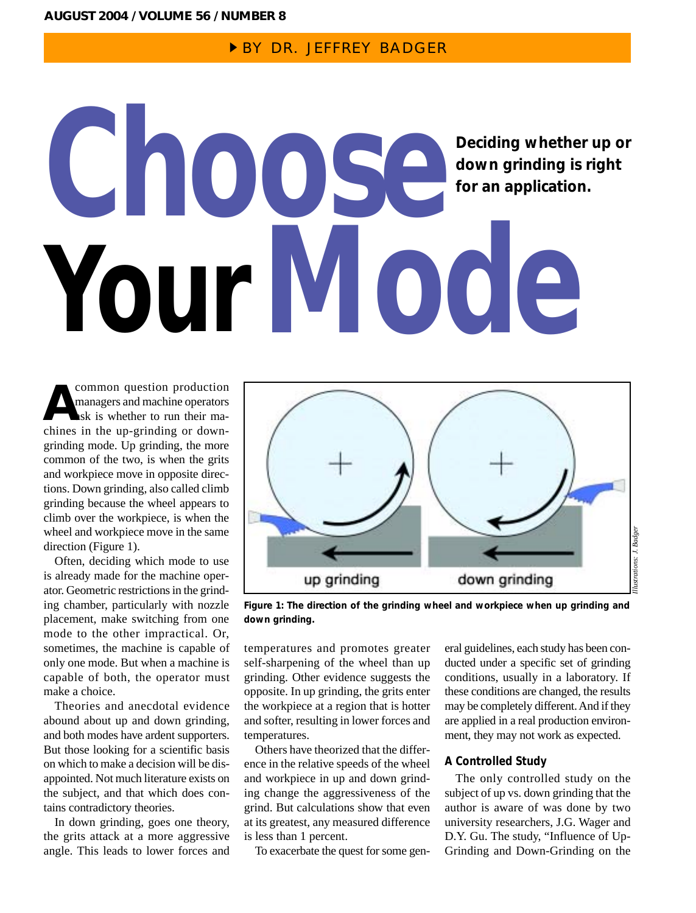## **BY DR. JEFFREY BADGER**

# **Deciding whether up or down grinding is right for an application. Choose YourMode**

common question production managers and machine operators ask is whether to run their macommon question production<br>
managers and machine operators<br>
ask is whether to run their ma-<br>
chines in the up-grinding or downgrinding mode. Up grinding, the more common of the two, is when the grits and workpiece move in opposite directions. Down grinding, also called climb grinding because the wheel appears to climb over the workpiece, is when the wheel and workpiece move in the same direction (Figure 1).

Often, deciding which mode to use is already made for the machine operator. Geometric restrictions in the grinding chamber, particularly with nozzle placement, make switching from one mode to the other impractical. Or, sometimes, the machine is capable of only one mode. But when a machine is capable of both, the operator must make a choice.

Theories and anecdotal evidence abound about up and down grinding, and both modes have ardent supporters. But those looking for a scientific basis on which to make a decision will be disappointed. Not much literature exists on the subject, and that which does contains contradictory theories.

In down grinding, goes one theory, the grits attack at a more aggressive angle. This leads to lower forces and



**Figure 1: The direction of the grinding wheel and workpiece when up grinding and down grinding.**

temperatures and promotes greater self-sharpening of the wheel than up grinding. Other evidence suggests the opposite. In up grinding, the grits enter the workpiece at a region that is hotter and softer, resulting in lower forces and temperatures.

Others have theorized that the difference in the relative speeds of the wheel and workpiece in up and down grinding change the aggressiveness of the grind. But calculations show that even at its greatest, any measured difference is less than 1 percent.

To exacerbate the quest for some gen-

eral guidelines, each study has been conducted under a specific set of grinding conditions, usually in a laboratory. If these conditions are changed, the results may be completely different. And if they are applied in a real production environment, they may not work as expected.

### **A Controlled Study**

The only controlled study on the subject of up vs. down grinding that the author is aware of was done by two university researchers, J.G. Wager and D.Y. Gu. The study, "Influence of Up-Grinding and Down-Grinding on the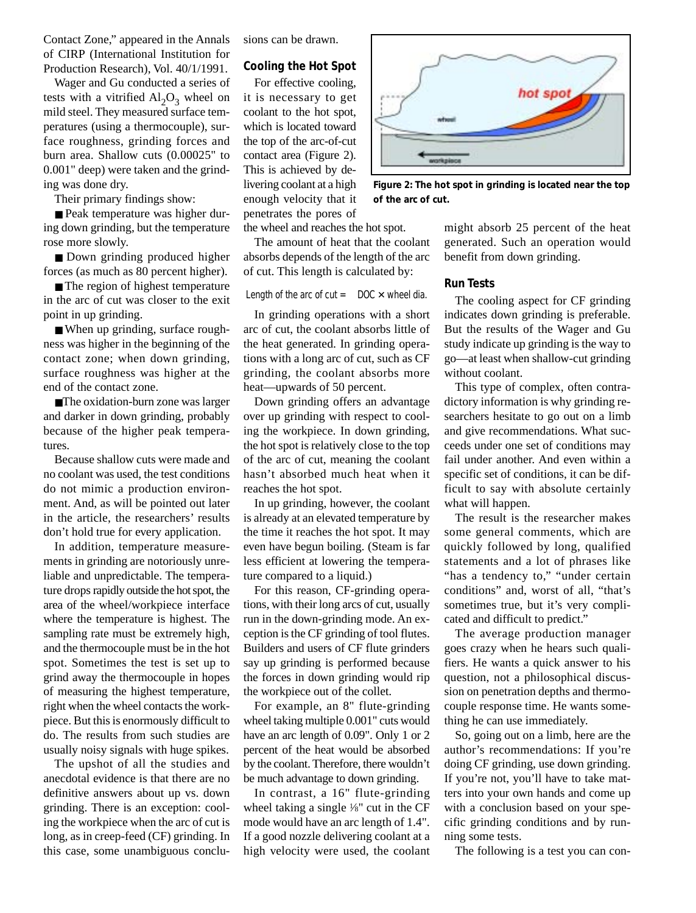Contact Zone," appeared in the Annals of CIRP (International Institution for Production Research), Vol. 40/1/1991.

Wager and Gu conducted a series of tests with a vitrified  $Al_2O_3$  wheel on mild steel. They measured surface temperatures (using a thermocouple), surface roughness, grinding forces and burn area. Shallow cuts (0.00025" to 0.001" deep) were taken and the grinding was done dry.

Their primary findings show:

■ Peak temperature was higher during down grinding, but the temperature rose more slowly.

■ Down grinding produced higher forces (as much as 80 percent higher).

■ The region of highest temperature in the arc of cut was closer to the exit point in up grinding.

■ When up grinding, surface roughness was higher in the beginning of the contact zone; when down grinding, surface roughness was higher at the end of the contact zone.

■The oxidation-burn zone was larger and darker in down grinding, probably because of the higher peak temperatures.

Because shallow cuts were made and no coolant was used, the test conditions do not mimic a production environment. And, as will be pointed out later in the article, the researchers' results don't hold true for every application.

In addition, temperature measurements in grinding are notoriously unreliable and unpredictable. The temperature drops rapidly outside the hot spot, the area of the wheel/workpiece interface where the temperature is highest. The sampling rate must be extremely high, and the thermocouple must be in the hot spot. Sometimes the test is set up to grind away the thermocouple in hopes of measuring the highest temperature, right when the wheel contacts the workpiece. But this is enormously difficult to do. The results from such studies are usually noisy signals with huge spikes.

The upshot of all the studies and anecdotal evidence is that there are no definitive answers about up vs. down grinding. There is an exception: cooling the workpiece when the arc of cut is long, as in creep-feed (CF) grinding. In this case, some unambiguous conclusions can be drawn.

#### **Cooling the Hot Spot**

For effective cooling, it is necessary to get coolant to the hot spot, which is located toward the top of the arc-of-cut contact area (Figure 2). This is achieved by delivering coolant at a high enough velocity that it penetrates the pores of

the wheel and reaches the hot spot.

The amount of heat that the coolant absorbs depends of the length of the arc of cut. This length is calculated by:

Length of the arc of cut  $=$  DOC  $\times$  wheel dia.

In grinding operations with a short arc of cut, the coolant absorbs little of the heat generated. In grinding operations with a long arc of cut, such as CF grinding, the coolant absorbs more heat—upwards of 50 percent.

Down grinding offers an advantage over up grinding with respect to cooling the workpiece. In down grinding, the hot spot is relatively close to the top of the arc of cut, meaning the coolant hasn't absorbed much heat when it reaches the hot spot.

In up grinding, however, the coolant is already at an elevated temperature by the time it reaches the hot spot. It may even have begun boiling. (Steam is far less efficient at lowering the temperature compared to a liquid.)

For this reason, CF-grinding operations, with their long arcs of cut, usually run in the down-grinding mode. An exception is the CF grinding of tool flutes. Builders and users of CF flute grinders say up grinding is performed because the forces in down grinding would rip the workpiece out of the collet.

For example, an 8" flute-grinding wheel taking multiple 0.001" cuts would have an arc length of 0.09". Only 1 or 2 percent of the heat would be absorbed by the coolant. Therefore, there wouldn't be much advantage to down grinding.

In contrast, a 16" flute-grinding wheel taking a single 1/8" cut in the CF mode would have an arc length of 1.4". If a good nozzle delivering coolant at a high velocity were used, the coolant



**Figure 2: The hot spot in grinding is located near the top of the arc of cut.**

might absorb 25 percent of the heat generated. Such an operation would benefit from down grinding.

#### **Run Tests**

The cooling aspect for CF grinding indicates down grinding is preferable. But the results of the Wager and Gu study indicate up grinding is the way to go—at least when shallow-cut grinding without coolant.

This type of complex, often contradictory information is why grinding researchers hesitate to go out on a limb and give recommendations. What succeeds under one set of conditions may fail under another. And even within a specific set of conditions, it can be difficult to say with absolute certainly what will happen.

The result is the researcher makes some general comments, which are quickly followed by long, qualified statements and a lot of phrases like "has a tendency to," "under certain conditions" and, worst of all, "that's sometimes true, but it's very complicated and difficult to predict."

The average production manager goes crazy when he hears such qualifiers. He wants a quick answer to his question, not a philosophical discussion on penetration depths and thermocouple response time. He wants something he can use immediately.

So, going out on a limb, here are the author's recommendations: If you're doing CF grinding, use down grinding. If you're not, you'll have to take matters into your own hands and come up with a conclusion based on your specific grinding conditions and by running some tests.

The following is a test you can con-